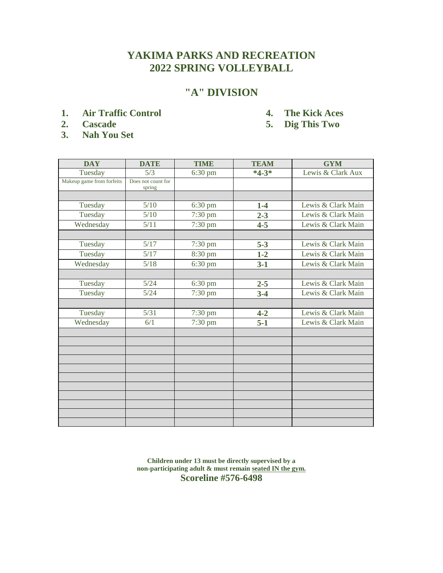#### **"A" DIVISION**

- **1. Air Traffic Control 4. The Kick Aces**
	-
- 
- **3. Nah You Set**
- **2. Cascade 5. Dig This Two**

| <b>DAY</b>                | <b>DATE</b>                  | <b>TIME</b>       | <b>TEAM</b> | <b>GYM</b>         |
|---------------------------|------------------------------|-------------------|-------------|--------------------|
| Tuesday                   | 5/3                          | 6:30 pm           | $*4-3*$     | Lewis & Clark Aux  |
| Makeup game from forfeits | Does not count for<br>spring |                   |             |                    |
|                           |                              |                   |             |                    |
| Tuesday                   | 5/10                         | $6:30 \text{ pm}$ | $1-4$       | Lewis & Clark Main |
| Tuesday                   | 5/10                         | 7:30 pm           | $2 - 3$     | Lewis & Clark Main |
| Wednesday                 | 5/11                         | 7:30 pm           | $4 - 5$     | Lewis & Clark Main |
|                           |                              |                   |             |                    |
| Tuesday                   | 5/17                         | $7:30 \text{ pm}$ | $5 - 3$     | Lewis & Clark Main |
| Tuesday                   | 5/17                         | 8:30 pm           | $1 - 2$     | Lewis & Clark Main |
| Wednesday                 | 5/18                         | 6:30 pm           | $3-1$       | Lewis & Clark Main |
|                           |                              |                   |             |                    |
| Tuesday                   | 5/24                         | $6:30$ pm         | $2 - 5$     | Lewis & Clark Main |
| Tuesday                   | 5/24                         | 7:30 pm           | $3 - 4$     | Lewis & Clark Main |
|                           |                              |                   |             |                    |
| Tuesday                   | 5/31                         | 7:30 pm           | $4 - 2$     | Lewis & Clark Main |
| Wednesday                 | 6/1                          | 7:30 pm           | $5-1$       | Lewis & Clark Main |
|                           |                              |                   |             |                    |
|                           |                              |                   |             |                    |
|                           |                              |                   |             |                    |
|                           |                              |                   |             |                    |
|                           |                              |                   |             |                    |
|                           |                              |                   |             |                    |
|                           |                              |                   |             |                    |
|                           |                              |                   |             |                    |
|                           |                              |                   |             |                    |
|                           |                              |                   |             |                    |

**Children under 13 must be directly supervised by a non-participating adult & must remain seated IN the gym. Scoreline #576-6498**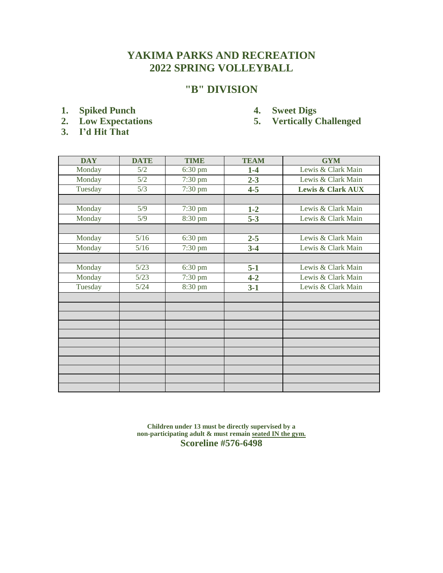#### **"B" DIVISION**

- 
- **1.** Spiked Punch **4.** Sweet Digs<br> **2.** Low Expectations 5. Vertically **6.**
- **3. I'd Hit That**
- 
- **2. Low Expectations 5. Vertically Challenged**

| <b>DAY</b> | <b>DATE</b> | <b>TIME</b>       | <b>TEAM</b> | <b>GYM</b>                   |
|------------|-------------|-------------------|-------------|------------------------------|
| Monday     | 5/2         | $6:30 \text{ pm}$ | $1-4$       | Lewis & Clark Main           |
| Monday     | 5/2         | 7:30 pm           | $2 - 3$     | Lewis & Clark Main           |
| Tuesday    | 5/3         | 7:30 pm           | $4 - 5$     | <b>Lewis &amp; Clark AUX</b> |
|            |             |                   |             |                              |
| Monday     | 5/9         | 7:30 pm           | $1-2$       | Lewis & Clark Main           |
| Monday     | 5/9         | 8:30 pm           | $5 - 3$     | Lewis & Clark Main           |
|            |             |                   |             |                              |
| Monday     | 5/16        | $6:30$ pm         | $2 - 5$     | Lewis & Clark Main           |
| Monday     | 5/16        | 7:30 pm           | $3-4$       | Lewis & Clark Main           |
|            |             |                   |             |                              |
| Monday     | 5/23        | $6:30 \text{ pm}$ | $5-1$       | Lewis & Clark Main           |
| Monday     | 5/23        | 7:30 pm           | $4 - 2$     | Lewis & Clark Main           |
| Tuesday    | 5/24        | 8:30 pm           | $3-1$       | Lewis & Clark Main           |
|            |             |                   |             |                              |
|            |             |                   |             |                              |
|            |             |                   |             |                              |
|            |             |                   |             |                              |
|            |             |                   |             |                              |
|            |             |                   |             |                              |
|            |             |                   |             |                              |
|            |             |                   |             |                              |
|            |             |                   |             |                              |
|            |             |                   |             |                              |

**Children under 13 must be directly supervised by a non-participating adult & must remain seated IN the gym. Scoreline #576-6498**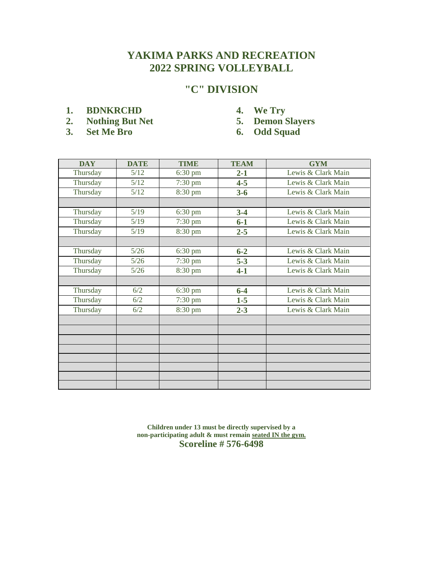# **"C" DIVISION**

- **1. BDNKRCHD 4. We Try**
- 2. Nothing But Net 5. Demon Slayers<br>
3. Set Me Bro 6. Odd Squad
- **3. Set Me Bro 6. Odd Squad**
- 
- -

| <b>DAY</b> | <b>DATE</b> | <b>TIME</b>       | <b>TEAM</b> | <b>GYM</b>         |
|------------|-------------|-------------------|-------------|--------------------|
| Thursday   | 5/12        | $6:30 \text{ pm}$ | $2 - 1$     | Lewis & Clark Main |
| Thursday   | 5/12        | $7:30 \text{ pm}$ | $4 - 5$     | Lewis & Clark Main |
| Thursday   | 5/12        | 8:30 pm           | $3 - 6$     | Lewis & Clark Main |
|            |             |                   |             |                    |
| Thursday   | 5/19        | $6:30 \text{ pm}$ | $3-4$       | Lewis & Clark Main |
| Thursday   | 5/19        | $7:30 \text{ pm}$ | $6-1$       | Lewis & Clark Main |
| Thursday   | 5/19        | 8:30 pm           | $2 - 5$     | Lewis & Clark Main |
|            |             |                   |             |                    |
| Thursday   | 5/26        | $6:30 \text{ pm}$ | $6 - 2$     | Lewis & Clark Main |
| Thursday   | $5/26$      | $7:30 \text{ pm}$ | $5 - 3$     | Lewis & Clark Main |
| Thursday   | 5/26        | 8:30 pm           | $4 - 1$     | Lewis & Clark Main |
|            |             |                   |             |                    |
| Thursday   | 6/2         | $6:30 \text{ pm}$ | $6-4$       | Lewis & Clark Main |
| Thursday   | 6/2         | $7:30 \text{ pm}$ | $1-5$       | Lewis & Clark Main |
| Thursday   | 6/2         | 8:30 pm           | $2 - 3$     | Lewis & Clark Main |
|            |             |                   |             |                    |
|            |             |                   |             |                    |
|            |             |                   |             |                    |
|            |             |                   |             |                    |
|            |             |                   |             |                    |
|            |             |                   |             |                    |
|            |             |                   |             |                    |
|            |             |                   |             |                    |

**Children under 13 must be directly supervised by a non-participating adult & must remain seated IN the gym. Scoreline # 576-6498**